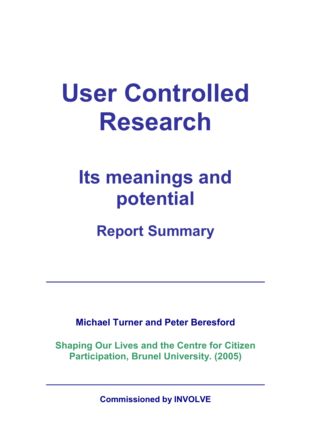# **User Controlled Research**

# **Its meanings and potential**

## **Report Summary**

**Michael Turner and Peter Beresford** 

**Shaping Our Lives and the Centre for Citizen Participation, Brunel University. (2005)** 

**Commissioned by INVOLVE**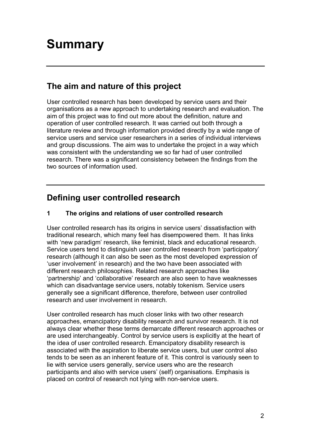## **Summary**

## **The aim and nature of this project**

User controlled research has been developed by service users and their organisations as a new approach to undertaking research and evaluation. The aim of this project was to find out more about the definition, nature and operation of user controlled research. It was carried out both through a literature review and through information provided directly by a wide range of service users and service user researchers in a series of individual interviews and group discussions. The aim was to undertake the project in a way which was consistent with the understanding we so far had of user controlled research. There was a significant consistency between the findings from the two sources of information used.

## **Defining user controlled research**

#### **1 The origins and relations of user controlled research**

User controlled research has its origins in service users' dissatisfaction with traditional research, which many feel has disempowered them. It has links with 'new paradigm' research, like feminist, black and educational research. Service users tend to distinguish user controlled research from 'participatory' research (although it can also be seen as the most developed expression of 'user involvement' in research) and the two have been associated with different research philosophies. Related research approaches like 'partnership' and 'collaborative' research are also seen to have weaknesses which can disadvantage service users, notably tokenism. Service users generally see a significant difference, therefore, between user controlled research and user involvement in research.

User controlled research has much closer links with two other research approaches, emancipatory disability research and survivor research. It is not always clear whether these terms demarcate different research approaches or are used interchangeably. Control by service users is explicitly at the heart of the idea of user controlled research. Emancipatory disability research is associated with the aspiration to liberate service users, but user control also tends to be seen as an inherent feature of it. This control is variously seen to lie with service users generally, service users who are the research participants and also with service users' (self) organisations. Emphasis is placed on control of research not lying with non-service users.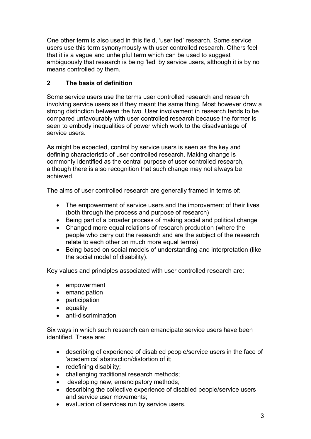One other term is also used in this field, 'user led' research. Some service users use this term synonymously with user controlled research. Others feel that it is a vague and unhelpful term which can be used to suggest ambiguously that research is being 'led' by service users, although it is by no means controlled by them.

#### **2 The basis of definition**

Some service users use the terms user controlled research and research involving service users as if they meant the same thing. Most however draw a strong distinction between the two. User involvement in research tends to be compared unfavourably with user controlled research because the former is seen to embody inequalities of power which work to the disadvantage of service users.

As might be expected, control by service users is seen as the key and defining characteristic of user controlled research. Making change is commonly identified as the central purpose of user controlled research, although there is also recognition that such change may not always be achieved.

The aims of user controlled research are generally framed in terms of:

- The empowerment of service users and the improvement of their lives (both through the process and purpose of research)
- · Being part of a broader process of making social and political change
- · Changed more equal relations of research production (where the people who carry out the research and are the subject of the research relate to each other on much more equal terms)
- · Being based on social models of understanding and interpretation (like the social model of disability).

Key values and principles associated with user controlled research are:

- · empowerment
- emancipation
- · participation
- equality
- $\bullet$  anti-discrimination

Six ways in which such research can emancipate service users have been identified. These are:

- · describing of experience of disabled people/service users in the face of 'academics' abstraction/distortion of it;
- redefining disability;
- challenging traditional research methods;
- developing new, emancipatory methods;
- · describing the collective experience of disabled people/service users and service user movements;
- · evaluation of services run by service users.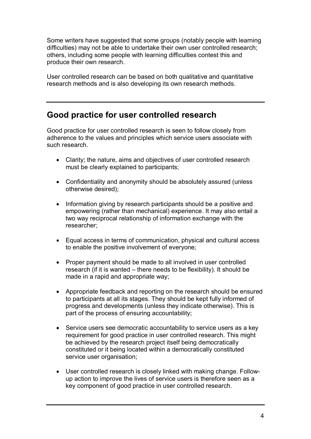Some writers have suggested that some groups (notably people with learning difficulties) may not be able to undertake their own user controlled research; others, including some people with learning difficulties contest this and produce their own research.

User controlled research can be based on both qualitative and quantitative research methods and is also developing its own research methods.

### **Good practice for user controlled research**

Good practice for user controlled research is seen to follow closely from adherence to the values and principles which service users associate with such research.

- · Clarity; the nature, aims and objectives of user controlled research must be clearly explained to participants;
- · Confidentiality and anonymity should be absolutely assured (unless otherwise desired);
- Information giving by research participants should be a positive and empowering (rather than mechanical) experience. It may also entail a two way reciprocal relationship of information exchange with the researcher;
- · Equal access in terms of communication, physical and cultural access to enable the positive involvement of everyone;
- Proper payment should be made to all involved in user controlled research (if it is wanted – there needs to be flexibility). It should be made in a rapid and appropriate way;
- · Appropriate feedback and reporting on the research should be ensured to participants at all its stages. They should be kept fully informed of progress and developments (unless they indicate otherwise). This is part of the process of ensuring accountability;
- · Service users see democratic accountability to service users as a key requirement for good practice in user controlled research. This might be achieved by the research project itself being democratically constituted or it being located within a democratically constituted service user organisation:
- User controlled research is closely linked with making change. Followup action to improve the lives of service users is therefore seen as a key component of good practice in user controlled research.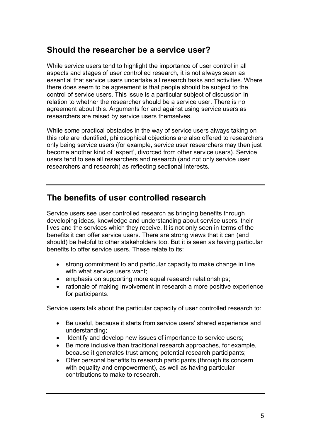#### **Should the researcher be a service user?**

While service users tend to highlight the importance of user control in all aspects and stages of user controlled research, it is not always seen as essential that service users undertake all research tasks and activities. Where there does seem to be agreement is that people should be subject to the control of service users. This issue is a particular subject of discussion in relation to whether the researcher should be a service user. There is no agreement about this. Arguments for and against using service users as researchers are raised by service users themselves.

While some practical obstacles in the way of service users always taking on this role are identified, philosophical objections are also offered to researchers only being service users (for example, service user researchers may then just become another kind of 'expert', divorced from other service users). Service users tend to see all researchers and research (and not only service user researchers and research) as reflecting sectional interests.

#### **The benefits of user controlled research**

Service users see user controlled research as bringing benefits through developing ideas, knowledge and understanding about service users, their lives and the services which they receive. It is not only seen in terms of the benefits it can offer service users. There are strong views that it can (and should) be helpful to other stakeholders too. But it is seen as having particular benefits to offer service users. These relate to its:

- strong commitment to and particular capacity to make change in line with what service users want;
- emphasis on supporting more equal research relationships;
- rationale of making involvement in research a more positive experience for participants.

Service users talk about the particular capacity of user controlled research to:

- · Be useful, because it starts from service users' shared experience and understanding;
- · Identify and develop new issues of importance to service users;
- · Be more inclusive than traditional research approaches, for example, because it generates trust among potential research participants;
- · Offer personal benefits to research participants (through its concern with equality and empowerment), as well as having particular contributions to make to research.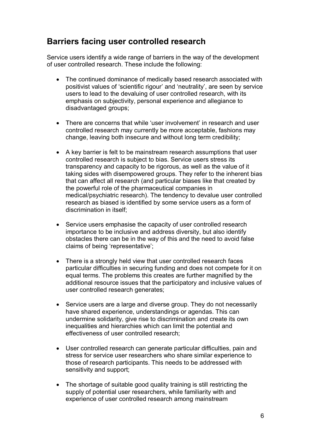#### **Barriers facing user controlled research**

Service users identify a wide range of barriers in the way of the development of user controlled research. These include the following:

- The continued dominance of medically based research associated with positivist values of 'scientific rigour' and 'neutrality', are seen by service users to lead to the devaluing of user controlled research, with its emphasis on subjectivity, personal experience and allegiance to disadvantaged groups;
- There are concerns that while 'user involvement' in research and user controlled research may currently be more acceptable, fashions may change, leaving both insecure and without long term credibility;
- · A key barrier is felt to be mainstream research assumptions that user controlled research is subject to bias. Service users stress its transparency and capacity to be rigorous, as well as the value of it taking sides with disempowered groups. They refer to the inherent bias that can affect all research (and particular biases like that created by the powerful role of the pharmaceutical companies in medical/psychiatric research). The tendency to devalue user controlled research as biased is identified by some service users as a form of discrimination in itself;
- · Service users emphasise the capacity of user controlled research importance to be inclusive and address diversity, but also identify obstacles there can be in the way of this and the need to avoid false claims of being 'representative';
- There is a strongly held view that user controlled research faces particular difficulties in securing funding and does not compete for it on equal terms. The problems this creates are further magnified by the additional resource issues that the participatory and inclusive values of user controlled research generates;
- · Service users are a large and diverse group. They do not necessarily have shared experience, understandings or agendas. This can undermine solidarity, give rise to discrimination and create its own inequalities and hierarchies which can limit the potential and effectiveness of user controlled research;
- · User controlled research can generate particular difficulties, pain and stress for service user researchers who share similar experience to those of research participants. This needs to be addressed with sensitivity and support;
- · The shortage of suitable good quality training is still restricting the supply of potential user researchers, while familiarity with and experience of user controlled research among mainstream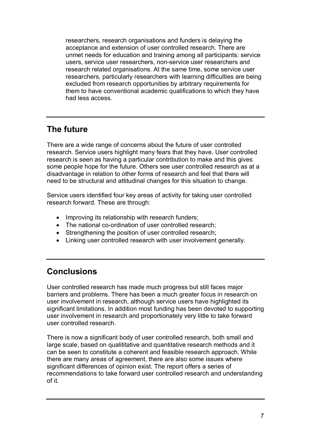researchers, research organisations and funders is delaying the acceptance and extension of user controlled research. There are unmet needs for education and training among all participants: service users, service user researchers, non-service user researchers and research related organisations. At the same time, some service user researchers, particularly researchers with learning difficulties are being excluded from research opportunities by arbitrary requirements for them to have conventional academic qualifications to which they have had less access.

## **The future**

There are a wide range of concerns about the future of user controlled research. Service users highlight many fears that they have. User controlled research is seen as having a particular contribution to make and this gives some people hope for the future. Others see user controlled research as at a disadvantage in relation to other forms of research and feel that there will need to be structural and attitudinal changes for this situation to change.

Service users identified four key areas of activity for taking user controlled research forward. These are through:

- Improving its relationship with research funders;
- The national co-ordination of user controlled research;
- Strengthening the position of user controlled research;
- · Linking user controlled research with user involvement generally.

### **Conclusions**

User controlled research has made much progress but still faces major barriers and problems. There has been a much greater focus in research on user involvement in research, although service users have highlighted its significant limitations. In addition most funding has been devoted to supporting user involvement in research and proportionately very little to take forward user controlled research.

There is now a significant body of user controlled research, both small and large scale, based on qualititative and quantitative research methods and it can be seen to constitute a coherent and feasible research approach. While there are many areas of agreement, there are also some issues where significant differences of opinion exist. The report offers a series of recommendations to take forward user controlled research and understanding of it.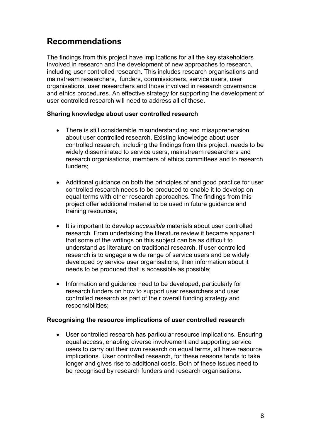## **Recommendations**

The findings from this project have implications for all the key stakeholders involved in research and the development of new approaches to research, including user controlled research. This includes research organisations and mainstream researchers, funders, commissioners, service users, user organisations, user researchers and those involved in research governance and ethics procedures. An effective strategy for supporting the development of user controlled research will need to address all of these.

#### **Sharing knowledge about user controlled research**

- · There is still considerable misunderstanding and misapprehension about user controlled research. Existing knowledge about user controlled research, including the findings from this project, needs to be widely disseminated to service users, mainstream researchers and research organisations, members of ethics committees and to research funders;
- · Additional guidance on both the principles of and good practice for user controlled research needs to be produced to enable it to develop on equal terms with other research approaches. The findings from this project offer additional material to be used in future guidance and training resources;
- · It is important to develop *accessible* materials about user controlled research. From undertaking the literature review it became apparent that some of the writings on this subject can be as difficult to understand as literature on traditional research. If user controlled research is to engage a wide range of service users and be widely developed by service user organisations, then information about it needs to be produced that is accessible as possible;
- · Information and guidance need to be developed, particularly for research funders on how to support user researchers and user controlled research as part of their overall funding strategy and responsibilities;

#### **Recognising the resource implications of user controlled research**

· User controlled research has particular resource implications. Ensuring equal access, enabling diverse involvement and supporting service users to carry out their own research on equal terms, all have resource implications. User controlled research, for these reasons tends to take longer and gives rise to additional costs. Both of these issues need to be recognised by research funders and research organisations.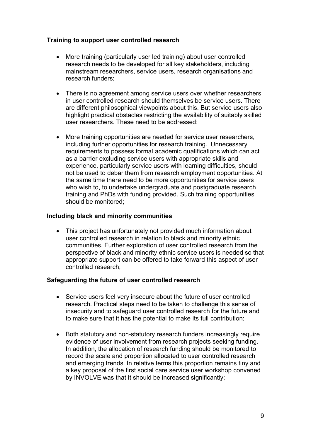#### **Training to support user controlled research**

- More training (particularly user led training) about user controlled research needs to be developed for all key stakeholders, including mainstream researchers, service users, research organisations and research funders;
- There is no agreement among service users over whether researchers in user controlled research should themselves be service users. There are different philosophical viewpoints about this. But service users also highlight practical obstacles restricting the availability of suitably skilled user researchers. These need to be addressed;
- · More training opportunities are needed for service user researchers, including further opportunities for research training. Unnecessary requirements to possess formal academic qualifications which can act as a barrier excluding service users with appropriate skills and experience, particularly service users with learning difficulties, should not be used to debar them from research employment opportunities. At the same time there need to be more opportunities for service users who wish to, to undertake undergraduate and postgraduate research training and PhDs with funding provided. Such training opportunities should be monitored;

#### **Including black and minority communities**

• This project has unfortunately not provided much information about user controlled research in relation to black and minority ethnic communities. Further exploration of user controlled research from the perspective of black and minority ethnic service users is needed so that appropriate support can be offered to take forward this aspect of user controlled research;

#### **Safeguarding the future of user controlled research**

- Service users feel very insecure about the future of user controlled research. Practical steps need to be taken to challenge this sense of insecurity and to safeguard user controlled research for the future and to make sure that it has the potential to make its full contribution;
- Both statutory and non-statutory research funders increasingly require evidence of user involvement from research projects seeking funding. In addition, the allocation of research funding should be monitored to record the scale and proportion allocated to user controlled research and emerging trends. In relative terms this proportion remains tiny and a key proposal of the first social care service user workshop convened by INVOLVE was that it should be increased significantly;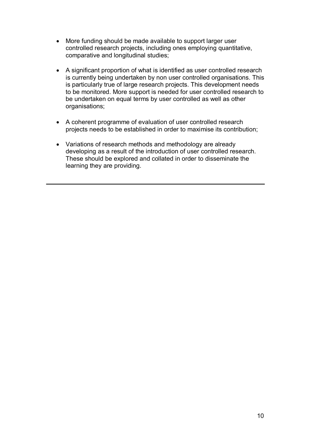- · More funding should be made available to support larger user controlled research projects, including ones employing quantitative, comparative and longitudinal studies;
- · A significant proportion of what is identified as user controlled research is currently being undertaken by non user controlled organisations. This is particularly true of large research projects. This development needs to be monitored. More support is needed for user controlled research to be undertaken on equal terms by user controlled as well as other organisations;
- · A coherent programme of evaluation of user controlled research projects needs to be established in order to maximise its contribution;
- · Variations of research methods and methodology are already developing as a result of the introduction of user controlled research. These should be explored and collated in order to disseminate the learning they are providing.